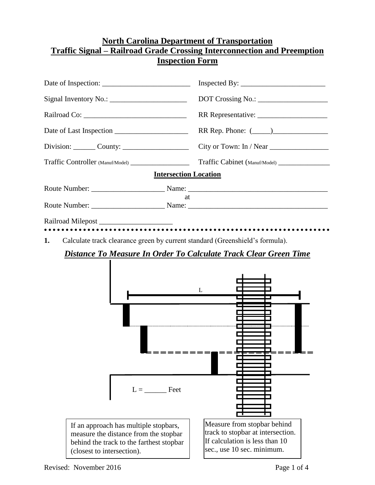## **North Carolina Department of Transportation Traffic Signal – Railroad Grade Crossing Interconnection and Preemption Inspection Form**

|                                                                                         | DOT Crossing No.: __________________ |
|-----------------------------------------------------------------------------------------|--------------------------------------|
|                                                                                         |                                      |
|                                                                                         | RR Rep. Phone: (                     |
| $Division: \_\_\_$ County: $\_\_\_\_\_\_\_\_\_\_\_\_\_\_\_\_\_\_\_\_\_\_\_\_\_\_\_\_\_$ |                                      |
|                                                                                         | Traffic Cabinet (Manuf/Model)        |
| <b>Intersection Location</b>                                                            |                                      |
|                                                                                         |                                      |
| at                                                                                      |                                      |
|                                                                                         |                                      |
| Calculate track clearance green by current standard (Greenshield's formula).<br>1.      |                                      |
| <b>Distance To Measure In Order To Calculate Track Clear Green Time</b>                 |                                      |
|                                                                                         | L                                    |

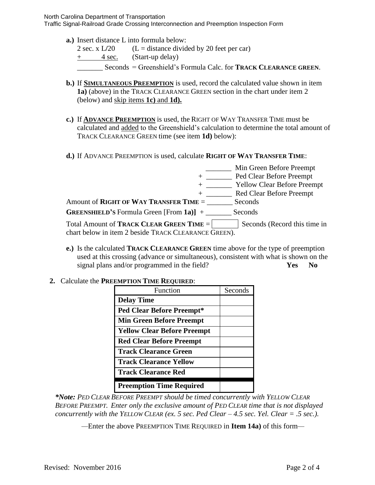North Carolina Department of Transportation

Traffic Signal-Railroad Grade Crossing Interconnection and Preemption Inspection Form

- **a.)** Insert distance L into formula below:
	- 2 sec. x  $L/20$  (L = distance divided by 20 feet per car)
	- + 4 sec. (Start-up delay)
	- \_\_\_\_\_\_\_ Seconds = Greenshield's Formula Calc. for **TRACK CLEARANCE GREEN**.
- **b.)** If **SIMULTANEOUS PREEMPTION** is used, record the calculated value shown in item **1a)** (above) in the TRACK CLEARANCE GREEN section in the chart under item 2 (below) and skip items **1c)** and **1d).**
- **c.)** If **ADVANCE PREEMPTION** is used, the RIGHT OF WAY TRANSFER TIME must be calculated and added to the Greenshield's calculation to determine the total amount of TRACK CLEARANCE GREEN time (see item **1d)** below):
- **d.)** If ADVANCE PREEMPTION is used, calculate **RIGHT OF WAY TRANSFER TIME**:

|                                                                                                  | Min Green Before Preempt           |
|--------------------------------------------------------------------------------------------------|------------------------------------|
|                                                                                                  | Ped Clear Before Preempt           |
|                                                                                                  | <b>Yellow Clear Before Preempt</b> |
|                                                                                                  | <b>Red Clear Before Preempt</b>    |
| Amount of RIGHT OF WAY TRANSFER TIME $=$                                                         | Seconds                            |
| <b>GREENSHIELD'S Formula Green [From 1a)]</b> +                                                  | Seconds                            |
| Total Amount of TRACK CLEAR GREEN TIME =<br>chart below in item 2 beside TRACK CLEARANCE GREEN). | Seconds (Record this time in       |
|                                                                                                  |                                    |

**e.)** Is the calculated **TRACK CLEARANCE GREEN** time above for the type of preemption used at this crossing (advance or simultaneous), consistent with what is shown on the signal plans and/or programmed in the field? **Yes No**

## **2.** Calculate the **PREEMPTION TIME REQUIRED**:

| Function                           | Seconds |
|------------------------------------|---------|
| <b>Delay Time</b>                  |         |
| <b>Ped Clear Before Preempt*</b>   |         |
| <b>Min Green Before Preempt</b>    |         |
| <b>Yellow Clear Before Preempt</b> |         |
| <b>Red Clear Before Preempt</b>    |         |
| <b>Track Clearance Green</b>       |         |
| <b>Track Clearance Yellow</b>      |         |
| <b>Track Clearance Red</b>         |         |
| <b>Preemption Time Required</b>    |         |

*\*Note: PED CLEAR BEFORE PREEMPT should be timed concurrently with YELLOW CLEAR BEFORE PREEMPT. Enter only the exclusive amount of PED CLEAR time that is not displayed concurrently with the YELLOW CLEAR (ex.* 5 sec. Ped Clear  $-4.5$  sec. Yel. Clear  $= .5$  sec.).

*—*Enter the above PREEMPTION TIME REQUIRED in **Item 14a)** of this form*—*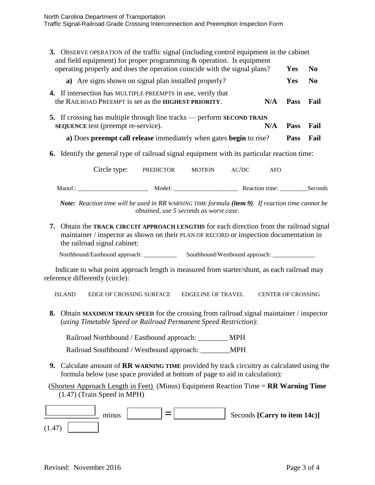| <b>3.</b> OBSERVE OPERATION of the traffic signal (including control equipment in the cabinet<br>and field equipment) for proper programming $\&$ operation. Is equipment |     |             |      |
|---------------------------------------------------------------------------------------------------------------------------------------------------------------------------|-----|-------------|------|
| operating properly and does the operation coincide with the signal plans?                                                                                                 |     | Yes         | No   |
| a) Are signs shown on signal plan installed properly?                                                                                                                     |     | <b>Yes</b>  | No   |
| <b>4.</b> If intersection has MULTIPLE PREEMPTS in use, verify that<br>the RAILROAD PREEMPT is set as the <b>HIGHEST PRIORITY</b> .                                       | N/A | <b>Pass</b> | Fail |
| 5. If crossing has multiple through line tracks — perform <b>SECOND TRAIN</b><br><b>SEQUENCE</b> test (preempt re-service).                                               | N/A | <b>Pass</b> | Fail |
| a) Does preempt call release immediately when gates begin to rise?                                                                                                        |     | <b>Pass</b> | Fail |
|                                                                                                                                                                           |     |             |      |
| Identify the general type of railroad signal equipment with its particular reaction time:<br>6.                                                                           |     |             |      |

Manuf.: \_\_\_\_\_\_\_\_\_\_\_\_\_\_\_\_\_\_\_\_\_\_\_ Model: \_\_\_\_\_\_\_\_\_\_\_\_\_\_\_\_\_\_\_\_\_ Reaction time: \_\_\_\_\_\_\_\_\_Seconds

*Note: Reaction time will be used in RR WARNING TIME formula (item 9). If reaction time cannot be obtained, use 5 seconds as worst case.*

**7.** Obtain the **TRACK CIRCUIT APPROACH LENGTHS** for each direction from the railroad signal maintainer / inspector as shown on their PLAN OF RECORD or inspection documentation in the railroad signal cabinet:

Northbound/Eastbound approach: \_\_\_\_\_\_\_\_\_\_\_ Southbound/Westbound approach: \_\_\_\_\_\_\_\_\_\_\_\_\_\_

Indicate to what point approach length is measured from starter/shunt, as each railroad may reference differently (circle):

ISLAND EDGE OF CROSSING SURFACE EDGELINE OF TRAVEL CENTER OF CROSSING

**8.** Obtain **MAXIMUM TRAIN SPEED** for the crossing from railroad signal maintainer / inspector (*using Timetable Speed or Railroad Permanent Speed Restriction*):

Railroad Northbound / Eastbound approach: MPH

Railroad Southbound / Westbound approach: \_\_\_\_\_\_\_\_MPH

**9.** Calculate amount of **RR WARNING TIME** provided by track circuitry as calculated using the formula below (use space provided at bottom of page to aid in calculation):

(Shortest Approach Length in Feet) (Minus) Equipment Reaction Time = **RR Warning Time** (1.47) (Train Speed in MPH)